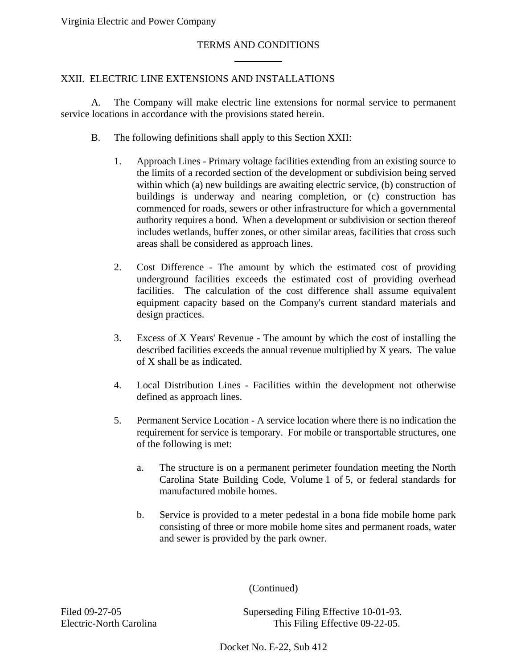#### TERMS AND CONDITIONS

 $\overline{a}$ 

#### XXII. ELECTRIC LINE EXTENSIONS AND INSTALLATIONS

A. The Company will make electric line extensions for normal service to permanent service locations in accordance with the provisions stated herein.

- B. The following definitions shall apply to this Section XXII:
	- 1. Approach Lines Primary voltage facilities extending from an existing source to the limits of a recorded section of the development or subdivision being served within which (a) new buildings are awaiting electric service, (b) construction of buildings is underway and nearing completion, or (c) construction has commenced for roads, sewers or other infrastructure for which a governmental authority requires a bond. When a development or subdivision or section thereof includes wetlands, buffer zones, or other similar areas, facilities that cross such areas shall be considered as approach lines.
	- 2. Cost Difference The amount by which the estimated cost of providing underground facilities exceeds the estimated cost of providing overhead facilities. The calculation of the cost difference shall assume equivalent equipment capacity based on the Company's current standard materials and design practices.
	- 3. Excess of X Years' Revenue The amount by which the cost of installing the described facilities exceeds the annual revenue multiplied by X years. The value of X shall be as indicated.
	- 4. Local Distribution Lines Facilities within the development not otherwise defined as approach lines.
	- 5. Permanent Service Location A service location where there is no indication the requirement for service is temporary. For mobile or transportable structures, one of the following is met:
		- a. The structure is on a permanent perimeter foundation meeting the North Carolina State Building Code, Volume 1 of 5, or federal standards for manufactured mobile homes.
		- b. Service is provided to a meter pedestal in a bona fide mobile home park consisting of three or more mobile home sites and permanent roads, water and sewer is provided by the park owner.

(Continued)

Filed 09-27-05 Superseding Filing Effective 10-01-93. Electric-North Carolina This Filing Effective 09-22-05.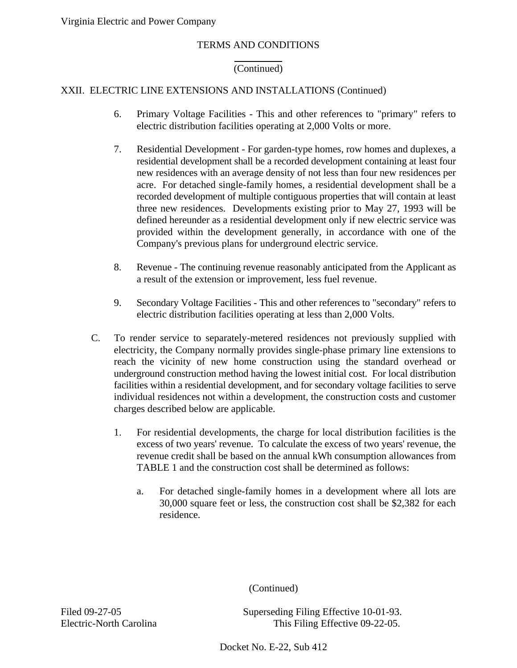#### TERMS AND CONDITIONS

#### (Continued)

# XXII. ELECTRIC LINE EXTENSIONS AND INSTALLATIONS (Continued)

 $\overline{a}$ 

- 6. Primary Voltage Facilities This and other references to "primary" refers to electric distribution facilities operating at 2,000 Volts or more.
- 7. Residential Development For garden-type homes, row homes and duplexes, a residential development shall be a recorded development containing at least four new residences with an average density of not less than four new residences per acre. For detached single-family homes, a residential development shall be a recorded development of multiple contiguous properties that will contain at least three new residences. Developments existing prior to May 27, 1993 will be defined hereunder as a residential development only if new electric service was provided within the development generally, in accordance with one of the Company's previous plans for underground electric service.
- 8. Revenue The continuing revenue reasonably anticipated from the Applicant as a result of the extension or improvement, less fuel revenue.
- 9. Secondary Voltage Facilities This and other references to "secondary" refers to electric distribution facilities operating at less than 2,000 Volts.
- C. To render service to separately-metered residences not previously supplied with electricity, the Company normally provides single-phase primary line extensions to reach the vicinity of new home construction using the standard overhead or underground construction method having the lowest initial cost. For local distribution facilities within a residential development, and for secondary voltage facilities to serve individual residences not within a development, the construction costs and customer charges described below are applicable.
	- 1. For residential developments, the charge for local distribution facilities is the excess of two years' revenue. To calculate the excess of two years' revenue, the revenue credit shall be based on the annual kWh consumption allowances from TABLE 1 and the construction cost shall be determined as follows:
		- a. For detached single-family homes in a development where all lots are 30,000 square feet or less, the construction cost shall be \$2,382 for each residence.

(Continued)

Filed 09-27-05 Superseding Filing Effective 10-01-93. Electric-North Carolina This Filing Effective 09-22-05.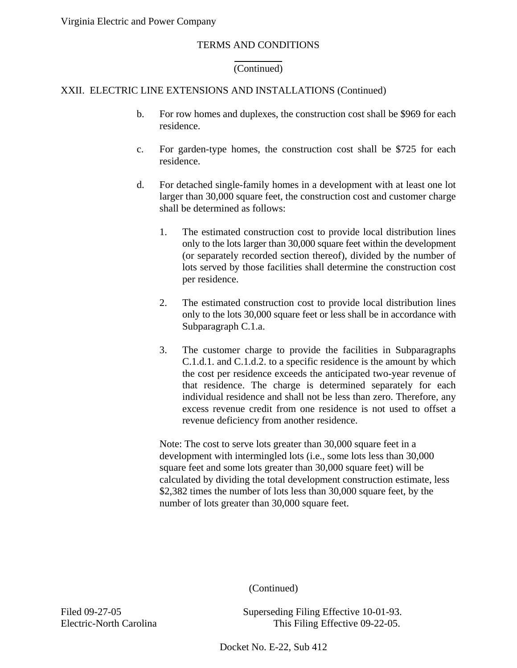### (Continued)

# XXII. ELECTRIC LINE EXTENSIONS AND INSTALLATIONS (Continued)

 $\overline{a}$ 

- b. For row homes and duplexes, the construction cost shall be \$969 for each residence.
- c. For garden-type homes, the construction cost shall be \$725 for each residence.
- d. For detached single-family homes in a development with at least one lot larger than 30,000 square feet, the construction cost and customer charge shall be determined as follows:
	- 1. The estimated construction cost to provide local distribution lines only to the lots larger than 30,000 square feet within the development (or separately recorded section thereof), divided by the number of lots served by those facilities shall determine the construction cost per residence.
	- 2. The estimated construction cost to provide local distribution lines only to the lots 30,000 square feet or less shall be in accordance with Subparagraph C.1.a.
	- 3. The customer charge to provide the facilities in Subparagraphs C.1.d.1. and C.1.d.2. to a specific residence is the amount by which the cost per residence exceeds the anticipated two-year revenue of that residence. The charge is determined separately for each individual residence and shall not be less than zero. Therefore, any excess revenue credit from one residence is not used to offset a revenue deficiency from another residence.

Note: The cost to serve lots greater than 30,000 square feet in a development with intermingled lots (i.e., some lots less than 30,000 square feet and some lots greater than 30,000 square feet) will be calculated by dividing the total development construction estimate, less \$2,382 times the number of lots less than 30,000 square feet, by the number of lots greater than 30,000 square feet.

(Continued)

Filed 09-27-05 Superseding Filing Effective 10-01-93. Electric-North Carolina This Filing Effective 09-22-05.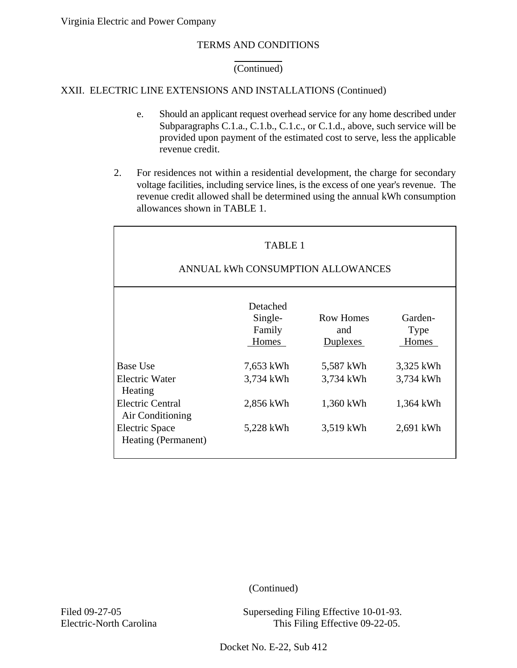# TERMS AND CONDITIONS

# (Continued)

### XXII. ELECTRIC LINE EXTENSIONS AND INSTALLATIONS (Continued)

 $\overline{a}$ 

- e. Should an applicant request overhead service for any home described under Subparagraphs C.1.a., C.1.b., C.1.c., or C.1.d., above, such service will be provided upon payment of the estimated cost to serve, less the applicable revenue credit.
- 2. For residences not within a residential development, the charge for secondary voltage facilities, including service lines, is the excess of one year's revenue. The revenue credit allowed shall be determined using the annual kWh consumption allowances shown in TABLE 1.

| <b>TABLE 1</b><br>ANNUAL kWh CONSUMPTION ALLOWANCES |                                        |                                            |                                 |
|-----------------------------------------------------|----------------------------------------|--------------------------------------------|---------------------------------|
|                                                     | Detached<br>Single-<br>Family<br>Homes | <b>Row Homes</b><br>and<br><b>Duplexes</b> | Garden-<br><b>Type</b><br>Homes |
| <b>Base Use</b>                                     | 7,653 kWh                              | 5,587 kWh                                  | 3,325 kWh                       |
| <b>Electric Water</b><br>Heating                    | 3,734 kWh                              | 3,734 kWh                                  | 3,734 kWh                       |
| <b>Electric Central</b><br>Air Conditioning         | 2,856 kWh                              | 1,360 kWh                                  | 1,364 kWh                       |
| Electric Space<br>Heating (Permanent)               | 5,228 kWh                              | 3,519 kWh                                  | 2,691 kWh                       |

(Continued)

Filed 09-27-05 Superseding Filing Effective 10-01-93. Electric-North Carolina This Filing Effective 09-22-05.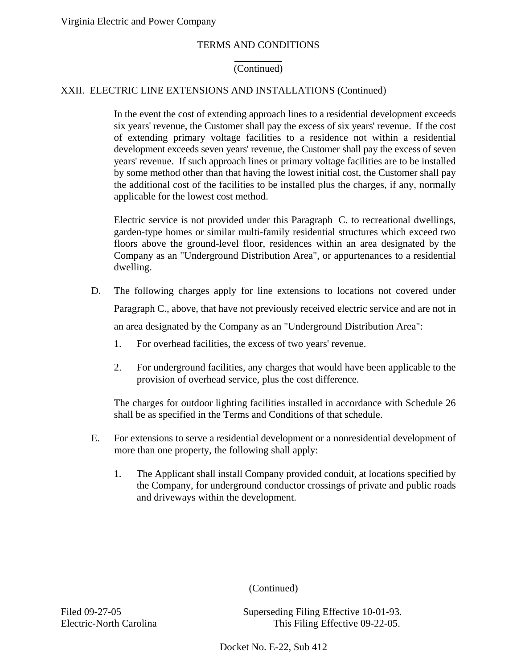#### (Continued)

# XXII. ELECTRIC LINE EXTENSIONS AND INSTALLATIONS (Continued)

 $\overline{a}$ 

In the event the cost of extending approach lines to a residential development exceeds six years' revenue, the Customer shall pay the excess of six years' revenue. If the cost of extending primary voltage facilities to a residence not within a residential development exceeds seven years' revenue, the Customer shall pay the excess of seven years' revenue. If such approach lines or primary voltage facilities are to be installed by some method other than that having the lowest initial cost, the Customer shall pay the additional cost of the facilities to be installed plus the charges, if any, normally applicable for the lowest cost method.

Electric service is not provided under this Paragraph C. to recreational dwellings, garden-type homes or similar multi-family residential structures which exceed two floors above the ground-level floor, residences within an area designated by the Company as an "Underground Distribution Area", or appurtenances to a residential dwelling.

- D. The following charges apply for line extensions to locations not covered under Paragraph C., above, that have not previously received electric service and are not in an area designated by the Company as an "Underground Distribution Area":
	- 1. For overhead facilities, the excess of two years' revenue.
	- 2. For underground facilities, any charges that would have been applicable to the provision of overhead service, plus the cost difference.

The charges for outdoor lighting facilities installed in accordance with Schedule 26 shall be as specified in the Terms and Conditions of that schedule.

- E. For extensions to serve a residential development or a nonresidential development of more than one property, the following shall apply:
	- 1. The Applicant shall install Company provided conduit, at locations specified by the Company, for underground conductor crossings of private and public roads and driveways within the development.

(Continued)

Filed 09-27-05 Superseding Filing Effective 10-01-93. Electric-North Carolina This Filing Effective 09-22-05.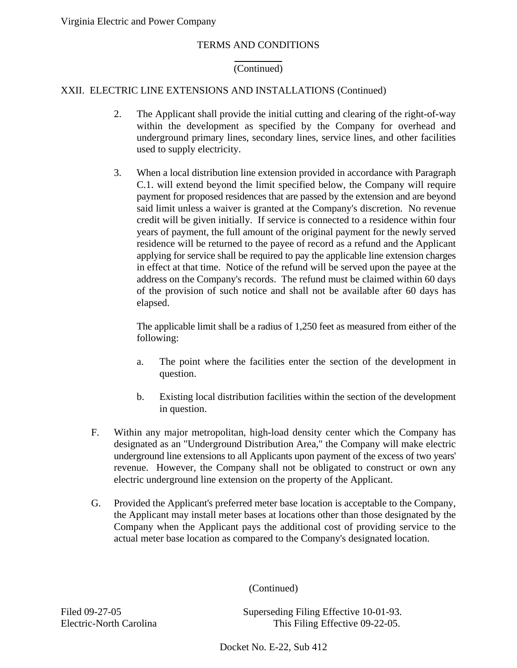## (Continued)

# XXII. ELECTRIC LINE EXTENSIONS AND INSTALLATIONS (Continued)

 $\overline{a}$ 

- 2. The Applicant shall provide the initial cutting and clearing of the right-of-way within the development as specified by the Company for overhead and underground primary lines, secondary lines, service lines, and other facilities used to supply electricity.
- 3. When a local distribution line extension provided in accordance with Paragraph C.1. will extend beyond the limit specified below, the Company will require payment for proposed residences that are passed by the extension and are beyond said limit unless a waiver is granted at the Company's discretion. No revenue credit will be given initially. If service is connected to a residence within four years of payment, the full amount of the original payment for the newly served residence will be returned to the payee of record as a refund and the Applicant applying for service shall be required to pay the applicable line extension charges in effect at that time. Notice of the refund will be served upon the payee at the address on the Company's records. The refund must be claimed within 60 days of the provision of such notice and shall not be available after 60 days has elapsed.

The applicable limit shall be a radius of 1,250 feet as measured from either of the following:

- a. The point where the facilities enter the section of the development in question.
- b. Existing local distribution facilities within the section of the development in question.
- F. Within any major metropolitan, high-load density center which the Company has designated as an "Underground Distribution Area," the Company will make electric underground line extensions to all Applicants upon payment of the excess of two years' revenue. However, the Company shall not be obligated to construct or own any electric underground line extension on the property of the Applicant.
- G. Provided the Applicant's preferred meter base location is acceptable to the Company, the Applicant may install meter bases at locations other than those designated by the Company when the Applicant pays the additional cost of providing service to the actual meter base location as compared to the Company's designated location.

(Continued)

Filed 09-27-05 Superseding Filing Effective 10-01-93. Electric-North Carolina This Filing Effective 09-22-05.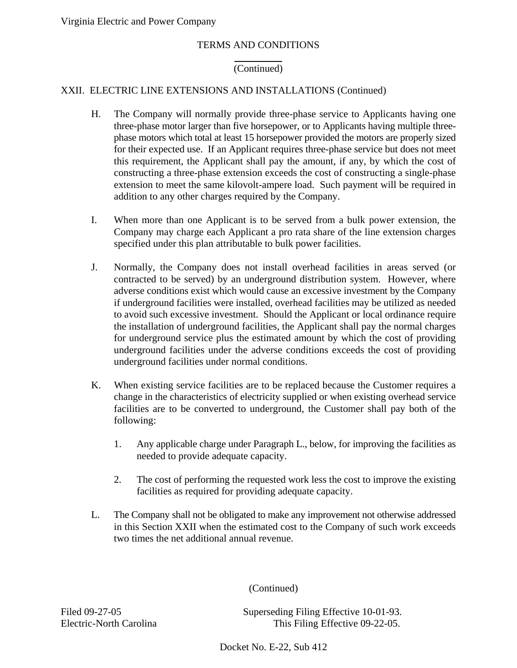### (Continued)

# XXII. ELECTRIC LINE EXTENSIONS AND INSTALLATIONS (Continued)

 $\overline{a}$ 

- H. The Company will normally provide three-phase service to Applicants having one three-phase motor larger than five horsepower, or to Applicants having multiple threephase motors which total at least 15 horsepower provided the motors are properly sized for their expected use. If an Applicant requires three-phase service but does not meet this requirement, the Applicant shall pay the amount, if any, by which the cost of constructing a three-phase extension exceeds the cost of constructing a single-phase extension to meet the same kilovolt-ampere load. Such payment will be required in addition to any other charges required by the Company.
- I. When more than one Applicant is to be served from a bulk power extension, the Company may charge each Applicant a pro rata share of the line extension charges specified under this plan attributable to bulk power facilities.
- J. Normally, the Company does not install overhead facilities in areas served (or contracted to be served) by an underground distribution system. However, where adverse conditions exist which would cause an excessive investment by the Company if underground facilities were installed, overhead facilities may be utilized as needed to avoid such excessive investment. Should the Applicant or local ordinance require the installation of underground facilities, the Applicant shall pay the normal charges for underground service plus the estimated amount by which the cost of providing underground facilities under the adverse conditions exceeds the cost of providing underground facilities under normal conditions.
- K. When existing service facilities are to be replaced because the Customer requires a change in the characteristics of electricity supplied or when existing overhead service facilities are to be converted to underground, the Customer shall pay both of the following:
	- 1. Any applicable charge under Paragraph L., below, for improving the facilities as needed to provide adequate capacity.
	- 2. The cost of performing the requested work less the cost to improve the existing facilities as required for providing adequate capacity.
- L. The Company shall not be obligated to make any improvement not otherwise addressed in this Section XXII when the estimated cost to the Company of such work exceeds two times the net additional annual revenue.

(Continued)

Filed 09-27-05 Superseding Filing Effective 10-01-93. Electric-North Carolina This Filing Effective 09-22-05.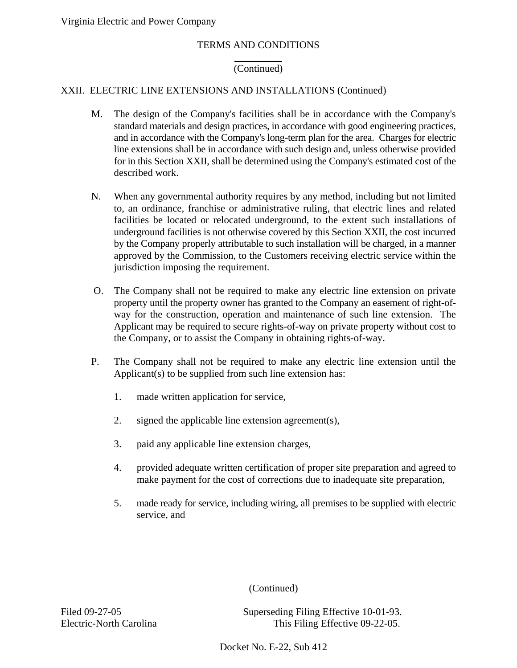### (Continued)

# XXII. ELECTRIC LINE EXTENSIONS AND INSTALLATIONS (Continued)

 $\overline{a}$ 

- M. The design of the Company's facilities shall be in accordance with the Company's standard materials and design practices, in accordance with good engineering practices, and in accordance with the Company's long-term plan for the area. Charges for electric line extensions shall be in accordance with such design and, unless otherwise provided for in this Section XXII, shall be determined using the Company's estimated cost of the described work.
- N. When any governmental authority requires by any method, including but not limited to, an ordinance, franchise or administrative ruling, that electric lines and related facilities be located or relocated underground, to the extent such installations of underground facilities is not otherwise covered by this Section XXII, the cost incurred by the Company properly attributable to such installation will be charged, in a manner approved by the Commission, to the Customers receiving electric service within the jurisdiction imposing the requirement.
- O. The Company shall not be required to make any electric line extension on private property until the property owner has granted to the Company an easement of right-ofway for the construction, operation and maintenance of such line extension. The Applicant may be required to secure rights-of-way on private property without cost to the Company, or to assist the Company in obtaining rights-of-way.
- P. The Company shall not be required to make any electric line extension until the Applicant(s) to be supplied from such line extension has:
	- 1. made written application for service,
	- 2. signed the applicable line extension agreement(s),
	- 3. paid any applicable line extension charges,
	- 4. provided adequate written certification of proper site preparation and agreed to make payment for the cost of corrections due to inadequate site preparation,
	- 5. made ready for service, including wiring, all premises to be supplied with electric service, and

(Continued)

Filed 09-27-05 Superseding Filing Effective 10-01-93. Electric-North Carolina This Filing Effective 09-22-05.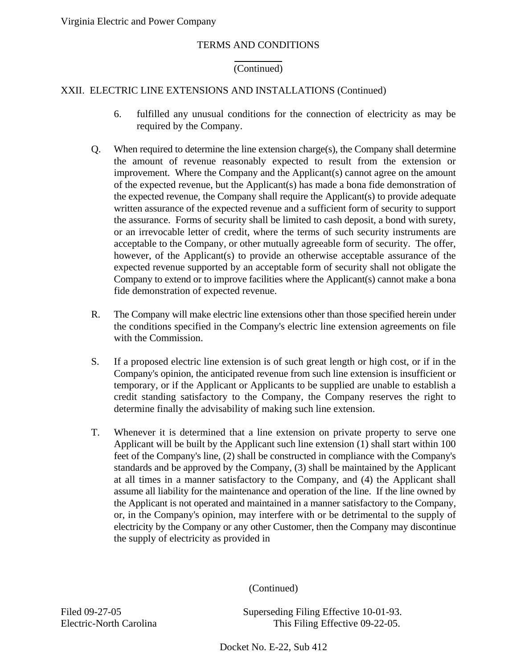### TERMS AND CONDITIONS

## (Continued)

# XXII. ELECTRIC LINE EXTENSIONS AND INSTALLATIONS (Continued)

 $\overline{a}$ 

- 6. fulfilled any unusual conditions for the connection of electricity as may be required by the Company.
- Q. When required to determine the line extension charge(s), the Company shall determine the amount of revenue reasonably expected to result from the extension or improvement. Where the Company and the Applicant(s) cannot agree on the amount of the expected revenue, but the Applicant(s) has made a bona fide demonstration of the expected revenue, the Company shall require the Applicant(s) to provide adequate written assurance of the expected revenue and a sufficient form of security to support the assurance. Forms of security shall be limited to cash deposit, a bond with surety, or an irrevocable letter of credit, where the terms of such security instruments are acceptable to the Company, or other mutually agreeable form of security. The offer, however, of the Applicant(s) to provide an otherwise acceptable assurance of the expected revenue supported by an acceptable form of security shall not obligate the Company to extend or to improve facilities where the Applicant(s) cannot make a bona fide demonstration of expected revenue.
- R. The Company will make electric line extensions other than those specified herein under the conditions specified in the Company's electric line extension agreements on file with the Commission.
- S. If a proposed electric line extension is of such great length or high cost, or if in the Company's opinion, the anticipated revenue from such line extension is insufficient or temporary, or if the Applicant or Applicants to be supplied are unable to establish a credit standing satisfactory to the Company, the Company reserves the right to determine finally the advisability of making such line extension.
- T. Whenever it is determined that a line extension on private property to serve one Applicant will be built by the Applicant such line extension (1) shall start within 100 feet of the Company's line, (2) shall be constructed in compliance with the Company's standards and be approved by the Company, (3) shall be maintained by the Applicant at all times in a manner satisfactory to the Company, and (4) the Applicant shall assume all liability for the maintenance and operation of the line. If the line owned by the Applicant is not operated and maintained in a manner satisfactory to the Company, or, in the Company's opinion, may interfere with or be detrimental to the supply of electricity by the Company or any other Customer, then the Company may discontinue the supply of electricity as provided in

(Continued)

Filed 09-27-05 Superseding Filing Effective 10-01-93. Electric-North Carolina This Filing Effective 09-22-05.